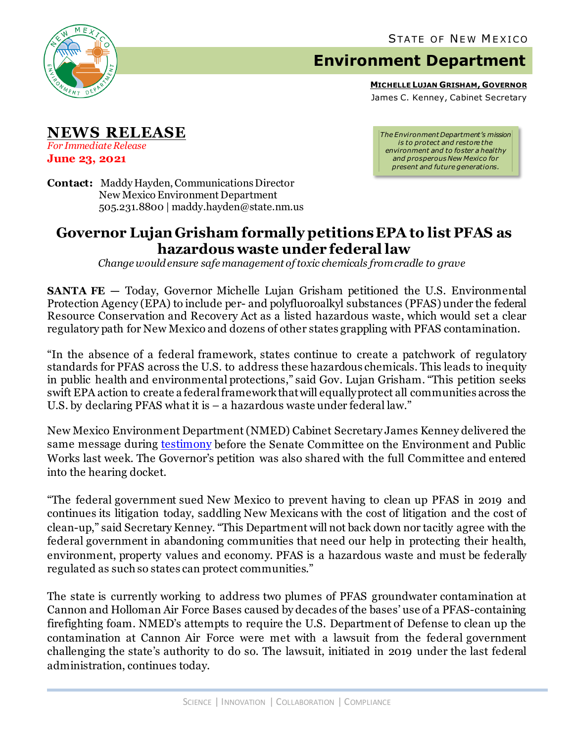

## **Environment Department**

**MICHELLE LUJAN GRISHAM, GOVERNOR**

James C. Kenney, Cabinet Secretary

**NEWS RELEASE** *For Immediate Release*

**June 23, 2021**

*The Environment Department's mission is to protect and restore the environment and to foster a healthy and prosperous New Mexico for present and future generations.*

**Contact:** Maddy Hayden, Communications Director New Mexico Environment Department 505.231.8800 | maddy.hayden@state.nm.us

## **Governor Lujan Grisham formally petitions EPA to list PFAS as hazardous waste under federal law**

*Change would ensure safe management of toxic chemicals from cradle to grave*

**SANTA FE** – Today, Governor Michelle Lujan Grisham petitioned the U.S. Environmental Protection Agency (EPA) to include per- and polyfluoroalkyl substances (PFAS) under the federal Resource Conservation and Recovery Act as a listed hazardous waste, which would set a clear regulatory path for New Mexico and dozens of other states grappling with PFAS contamination.

"In the absence of a federal framework, states continue to create a patchwork of regulatory standards for PFAS across the U.S. to address these hazardous chemicals. This leads to inequity in public health and environmental protections," said Gov. Lujan Grisham. "This petition seeks swift EPA action to create a federal framework that will equally protect all communities across the U.S. by declaring PFAS what it is  $-$  a hazardous waste under federal law."

New Mexico Environment Department (NMED) Cabinet Secretary James Kenney delivered the same message during [testimony](https://www.epw.senate.gov/public/index.cfm/2021/6/pfas-the-view-from-affected-citizens-and-states) before the Senate Committee on the Environment and Public Works last week. The Governor's petition was also shared with the full Committee and entered into the hearing docket.

"The federal government sued New Mexico to prevent having to clean up PFAS in 2019 and continues its litigation today, saddling New Mexicans with the cost of litigation and the cost of clean-up," said Secretary Kenney. "This Department will not back down nor tacitly agree with the federal government in abandoning communities that need our help in protecting their health, environment, property values and economy. PFAS is a hazardous waste and must be federally regulated as such so states can protect communities."

The state is currently working to address two plumes of PFAS groundwater contamination at Cannon and Holloman Air Force Bases caused by decades of the bases' use of a PFAS-containing firefighting foam. NMED's attempts to require the U.S. Department of Defense to clean up the contamination at Cannon Air Force were met with a lawsuit from the federal government challenging the state's authority to do so. The lawsuit, initiated in 2019 under the last federal administration, continues today.